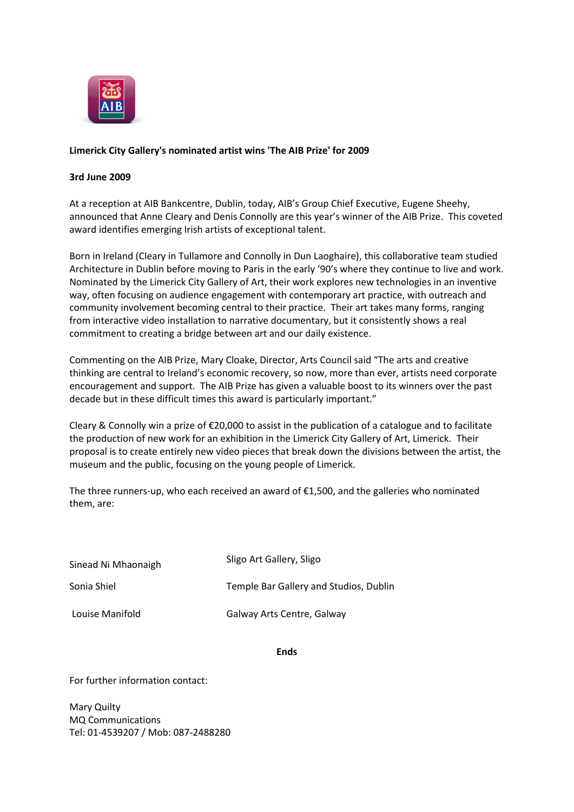

## **Limerick City Gallery's nominated artist wins 'The AIB Prize' for 2009**

## **3rd June 2009**

At a reception at AIB Bankcentre, Dublin, today, AIB's Group Chief Executive, Eugene Sheehy, announced that Anne Cleary and Denis Connolly are this year's winner of the AIB Prize. This coveted award identifies emerging Irish artists of exceptional talent.

Born in Ireland (Cleary in Tullamore and Connolly in Dun Laoghaire), this collaborative team studied Architecture in Dublin before moving to Paris in the early '90's where they continue to live and work. Nominated by the Limerick City Gallery of Art, their work explores new technologies in an inventive way, often focusing on audience engagement with contemporary art practice, with outreach and community involvement becoming central to their practice. Their art takes many forms, ranging from interactive video installation to narrative documentary, but it consistently shows a real commitment to creating a bridge between art and our daily existence.

Commenting on the AIB Prize, Mary Cloake, Director, Arts Council said "The arts and creative thinking are central to Ireland's economic recovery, so now, more than ever, artists need corporate encouragement and support. The AIB Prize has given a valuable boost to its winners over the past decade but in these difficult times this award is particularly important."

Cleary & Connolly win a prize of €20,000 to assist in the publication of a catalogue and to facilitate the production of new work for an exhibition in the Limerick City Gallery of Art, Limerick. Their proposal is to create entirely new video pieces that break down the divisions between the artist, the museum and the public, focusing on the young people of Limerick.

The three runners-up, who each received an award of €1,500, and the galleries who nominated them, are:

Sinead Ni Mhaonaigh Sligo Art Gallery, Sligo

Sonia Shiel Temple Bar Gallery and Studios, Dublin

Louise Manifold Galway Arts Centre, Galway

**Ends**

For further information contact:

Mary Quilty MQ Communications Tel: 01-4539207 / Mob: 087-2488280